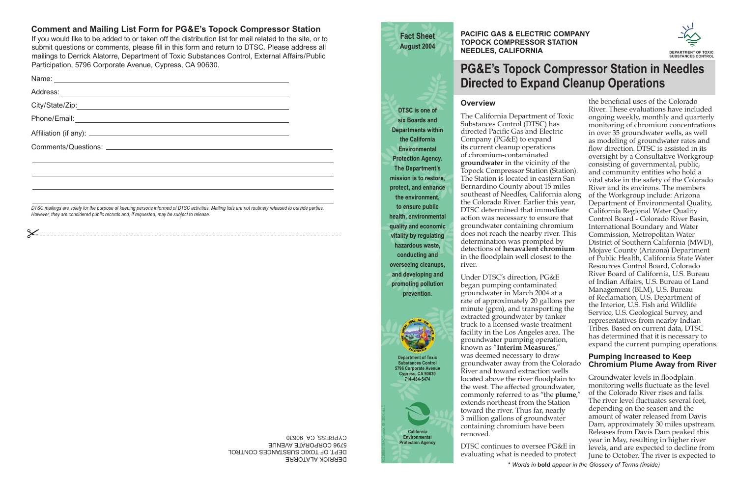DERRICK ALATORRE DEPT. OF TOXIC SUBSTANCES CONTROL 5796 CORPORATE AVENUE CYPRESS, CA 90630

If you would like to be added to or taken off the distribution list for mail related to the site, or to submit questions or comments, please fill in this form and return to DTSC. Please address all mailings to Derrick Alatorre, Department of Toxic Substances Control, External Affairs/Public Participation, 5796 Corporate Avenue, Cypress, CA 90630.

# **Comment and Mailing List Form for PG&E's Topock Compressor Station**

| DTSC mailings are solely for the purpose of keeping persons informed of DTSC activities. Mailing lists are not routinely released to outside parties |  |
|------------------------------------------------------------------------------------------------------------------------------------------------------|--|

*However, they are considered public records and, if requested, may be subject to release.*

# **Overview**

The California Department of Toxic Substances Control (DTSC) has directed Pacific Gas and Electric Company (PG&E) to expand its current cleanup operations of chromium-contaminated **groundwater** in the vicinity of the Topock Compressor Station (Station). The Station is located in eastern San Bernardino County about 15 miles southeast of Needles, California along the Colorado River. Earlier this year, DTSC determined that immediate action was necessary to ensure that groundwater containing chromium does not reach the nearby river. This determination was prompted by detections of **hexavalent chromium**in the floodplain well closest to the river.

the beneficial uses of the Colorado River. These evaluations have included ongoing weekly, monthly and quarterly monitoring of chromium concentrations in over 35 groundwater wells, as well as modeling of groundwater rates and flow direction. DTSC is assisted in its oversight by a Consultative Workgroup consisting of governmental, public, and community entities who hold a vital stake in the safety of the Colorado River and its environs. The members of the Workgroup include: Arizona Department of Environmental Quality, California Regional Water Quality Control Board - Colorado River Basin, International Boundary and Water Commission, Metropolitan Water District of Southern California (MWD), Mojave County (Arizona) Department of Public Health, California State Water Resources Control Board, Colorado River Board of California, U.S. Bureau of Indian Affairs, U.S. Bureau of Land Management (BLM), U.S. Bureau of Reclamation, U.S. Department of the Interior, U.S. Fish and Wildlife Service, U.S. Geological Survey, and representatives from nearby Indian Tribes. Based on current data, DTSC has determined that it is necessary to expand the current pumping operations.

Under DTSC's direction, PG&E began pumping contaminated groundwater in March 2004 at a rate of approximately 20 gallons per minute (gpm), and transporting the extracted groundwater by tanker truck to a licensed waste treatment facility in the Los Angeles area. The groundwater pumping operation, known as "**Interim Measures**," was deemed necessary to draw groundwater away from the Colorado River and toward extraction wells located above the river floodplain to the west. The affected groundwater, commonly referred to as "the **plume**," extends northeast from the Station toward the river. Thus far, nearly 3 million gallons of groundwater containing chromium have been removed.

DTSC continues to oversee PG&E in evaluating what is needed to protect

Groundwater levels in floodplain monitoring wells fluctuate as the level of the Colorado River rises and falls. The river level fluctuates several feet, depending on the season and the amount of water released from Davis Dam, approximately 30 miles upstream. Releases from Davis Dam peaked this year in May, resulting in higher river levels, and are expected to decline from June to October. The river is expected to **\*** *Words in* **bold** *appear in the Glossary of Terms (inside)*

#### **Pumping Increased to Keep Chromium Plume Away from River**

# **PG&E's Topock Compressor Station in Needles Directed to Expand Cleanup Operations**

**Fact SheetAugust 2004**

**DTSC is one of six Boards and Departments within the California Environmental Protection Agency. The Department's mission is to restore, protect, and enhance the environment, to ensure public health, environmental quality and economic vitality by regulating hazardous waste, conducting and overseeing cleanups, and developing and promoting pollution prevention.**

> **Department of Toxic Substances Control 5796 Corporate Avenue Cypress, CA 90630 714-484-5474**

**PACIFIC GAS & ELECTRIC COMPANY TOPOCK COMPRESSOR STATIONNEEDLES, CALIFORNIA**

**California Environmental Protection Agency**

E062004011SAC topock\_08\_2004\_draft